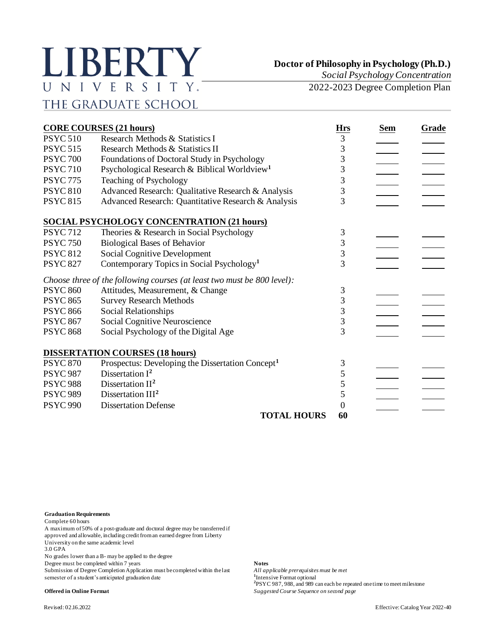## LIBERTY UNIVERSITY. THE GRADUATE SCHOOL

**Doctor of Philosophy in Psychology (Ph.D.)**

*Social Psychology Concentration*

2022-2023 Degree Completion Plan

| <b>CORE COURSES (21 hours)</b> |                                                                         |                 | <b>Sem</b> | Grade |
|--------------------------------|-------------------------------------------------------------------------|-----------------|------------|-------|
| <b>PSYC 510</b>                | Research Methods & Statistics I                                         | <u>Hrs</u><br>3 |            |       |
| <b>PSYC 515</b>                | Research Methods & Statistics II                                        | 3               |            |       |
| <b>PSYC 700</b>                | Foundations of Doctoral Study in Psychology                             | 3               |            |       |
| <b>PSYC 710</b>                | Psychological Research & Biblical Worldview <sup>1</sup>                | 3               |            |       |
| <b>PSYC 775</b>                | Teaching of Psychology                                                  | 3               |            |       |
| <b>PSYC 810</b>                | Advanced Research: Qualitative Research & Analysis                      | 3               |            |       |
| <b>PSYC 815</b>                | Advanced Research: Quantitative Research & Analysis                     | 3               |            |       |
|                                | <b>SOCIAL PSYCHOLOGY CONCENTRATION (21 hours)</b>                       |                 |            |       |
| <b>PSYC 712</b>                | Theories & Research in Social Psychology                                | 3               |            |       |
| <b>PSYC 750</b>                | <b>Biological Bases of Behavior</b>                                     | 3               |            |       |
| <b>PSYC 812</b>                | <b>Social Cognitive Development</b>                                     | 3               |            |       |
| <b>PSYC 827</b>                | Contemporary Topics in Social Psychology <sup>1</sup>                   | 3               |            |       |
|                                | Choose three of the following courses (at least two must be 800 level): |                 |            |       |
| <b>PSYC 860</b>                | Attitudes, Measurement, & Change                                        | 3               |            |       |
| <b>PSYC 865</b>                | <b>Survey Research Methods</b>                                          | 3               |            |       |
| <b>PSYC 866</b>                | Social Relationships                                                    | 3               |            |       |
| <b>PSYC 867</b>                | Social Cognitive Neuroscience                                           | 3               |            |       |
| <b>PSYC 868</b>                | Social Psychology of the Digital Age                                    | 3               |            |       |
|                                | <b>DISSERTATION COURSES (18 hours)</b>                                  |                 |            |       |
| <b>PSYC 870</b>                | Prospectus: Developing the Dissertation Concept <sup>1</sup>            | 3               |            |       |
| <b>PSYC 987</b>                | Dissertation $I^2$                                                      | 5               |            |       |
| <b>PSYC 988</b>                | Dissertation $II2$                                                      | 5               |            |       |
| <b>PSYC 989</b>                | Dissertation III <sup>2</sup>                                           | 5               |            |       |
| <b>PSYC 990</b>                | <b>Dissertation Defense</b>                                             | $\theta$        |            |       |
|                                | <b>TOTAL HOURS</b>                                                      | 60              |            |       |

**Graduation Requirements**

Complete 60 hours

A maximum of 50% of a post-graduate and doctoral degree may be transferred if approved and allowable, including credit from an earned degree from Liberty

University on the same academic level

3.0 GPA

No grades lower than a B- may be applied to the degree

Degree must be completed within 7 years **Notes**

Submission of Degree Completion Application must be completed within the last *All applicable prerequisites must be met* semester of a student's anticipated graduation date

<sup>1</sup>Intensive Format optional **2** PSYC 987, 988, and 989 can each be repeated one time to meet milestone **Offered in Online Format** *Suggested Course Sequence on second page*